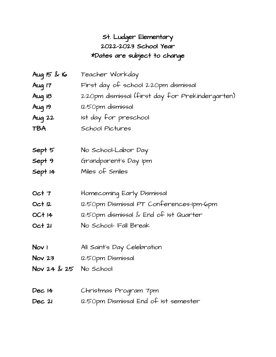## St. Ludger Elementary 2022-2023 School Year \*Dates are subject to change

| Aug $15$ & 16         | Teacher Workday                                  |
|-----------------------|--------------------------------------------------|
| Aug 17                | First day of school 2:20pm dismissal             |
| Aug 18                | 2:20pm dismissal (first day for Prekindergarten) |
| Aug 19                | 12:50pm dismissal                                |
| Aug 22                | 1st day for preschool                            |
| TBA                   | School Pictures                                  |
| Sept 5                | No School-Labor Day                              |
| Sept 9                | Grandparent's Day Ipm                            |
| Sept 14               | Miles of Smiles                                  |
| Oct 7                 | Homecoming Early Dismissal                       |
| Oct 12                | 12:50pm Dismissal PT Conferences-Ipm-Gpm         |
| OC+ 14                | 12:50pm dismissal & End of 1st Quarter           |
| Oct2I                 | No School- Fall Break                            |
| Nov <sub>1</sub>      | All Saint's Day Celebration                      |
| Nov <sub>23</sub>     | 12:50pm Dismissal                                |
| Nov 24 & 25 No School |                                                  |
| Dec 14                | Christmas Program 7pm                            |
| Dec 2I                | 12:50pm Dismissal End of 1st semester            |